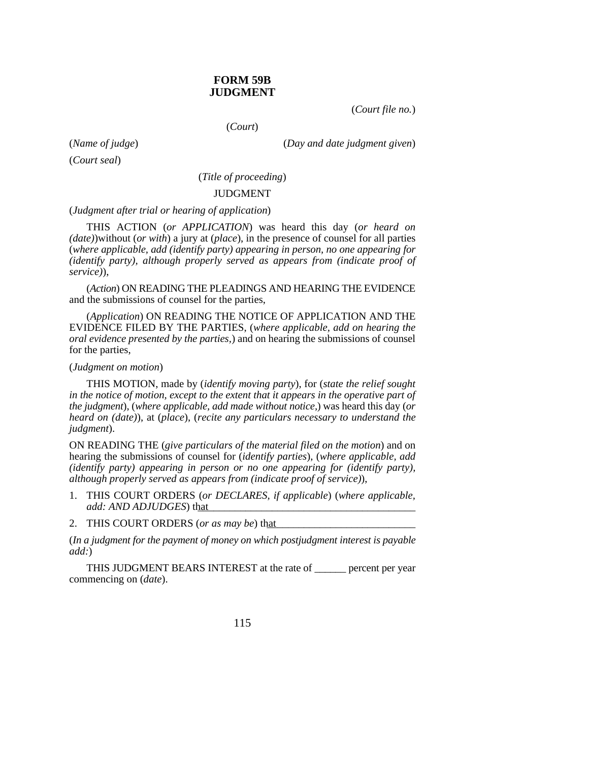## **FORM 59B JUDGMENT**

(*Court file no.*)

(*Court*)

(*Court seal*)

(*Name of judge*) (*Day and date judgment given*)

(*Title of proceeding*)

## JUDGMENT

(*Judgment after trial or hearing of application*)

THIS ACTION (*or APPLICATION*) was heard this day (*or heard on (date)*)without (*or with*) a jury at (*place*), in the presence of counsel for all parties (*where applicable, add (identify party) appearing in person, no one appearing for (identify party), although properly served as appears from (indicate proof of service)*),

(*Action*) ON READING THE PLEADINGS AND HEARING THE EVIDENCE and the submissions of counsel for the parties,

(*Application*) ON READING THE NOTICE OF APPLICATION AND THE EVIDENCE FILED BY THE PARTIES, (*where applicable, add on hearing the oral evidence presented by the parties,*) and on hearing the submissions of counsel for the parties,

## (*Judgment on motion*)

THIS MOTION, made by (*identify moving party*), for (*state the relief sought in the notice of motion, except to the extent that it appears in the operative part of the judgment*), (*where applicable, add made without notice,*) was heard this day (*or heard on (date)*), at (*place*), (*recite any particulars necessary to understand the judgment*).

ON READING THE (*give particulars of the material filed on the motion*) and on hearing the submissions of counsel for (*identify parties*), (*where applicable, add (identify party) appearing in person or no one appearing for (identify party), although properly served as appears from (indicate proof of service)*),

- 1. THIS COURT ORDERS (*or DECLARES, if applicable*) (*where applicable, add: AND ADJUDGES*) that
- 2. THIS COURT ORDERS (or as may be) that

(*In a judgment for the payment of money on which postjudgment interest is payable add:*)

THIS JUDGMENT BEARS INTEREST at the rate of \_\_\_\_\_\_ percent per year commencing on (*date*).